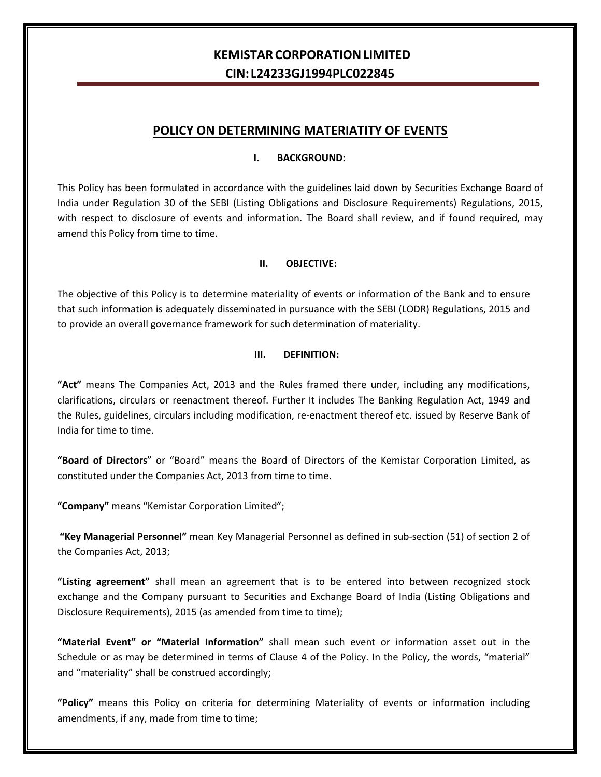# **KEMISTARCORPORATIONLIMITED CIN: L24233GJ1994PLC022845**

## **POLICY ON DETERMINING MATERIATITY OF EVENTS**

#### **I. BACKGROUND:**

This Policy has been formulated in accordance with the guidelines laid down by Securities Exchange Board of India under Regulation 30 of the SEBI (Listing Obligations and Disclosure Requirements) Regulations, 2015, with respect to disclosure of events and information. The Board shall review, and if found required, may amend this Policy from time to time.

#### **II. OBJECTIVE:**

The objective of this Policy is to determine materiality of events or information of the Bank and to ensure that such information is adequately disseminated in pursuance with the SEBI (LODR) Regulations, 2015 and to provide an overall governance framework for such determination of materiality.

#### **III. DEFINITION:**

**"Act"** means The Companies Act, 2013 and the Rules framed there under, including any modifications, clarifications, circulars or reenactment thereof. Further It includes The Banking Regulation Act, 1949 and the Rules, guidelines, circulars including modification, re-enactment thereof etc. issued by Reserve Bank of India for time to time.

**"Board of Directors**" or "Board" means the Board of Directors of the Kemistar Corporation Limited, as constituted under the Companies Act, 2013 from time to time.

**"Company"** means "Kemistar Corporation Limited";

**"Key Managerial Personnel"** mean Key Managerial Personnel as defined in sub-section (51) of section 2 of the Companies Act, 2013;

**"Listing agreement"** shall mean an agreement that is to be entered into between recognized stock exchange and the Company pursuant to Securities and Exchange Board of India (Listing Obligations and Disclosure Requirements), 2015 (as amended from time to time);

**"Material Event" or "Material Information"** shall mean such event or information asset out in the Schedule or as may be determined in terms of Clause 4 of the Policy. In the Policy, the words, "material" and "materiality" shall be construed accordingly;

**"Policy"** means this Policy on criteria for determining Materiality of events or information including amendments, if any, made from time to time;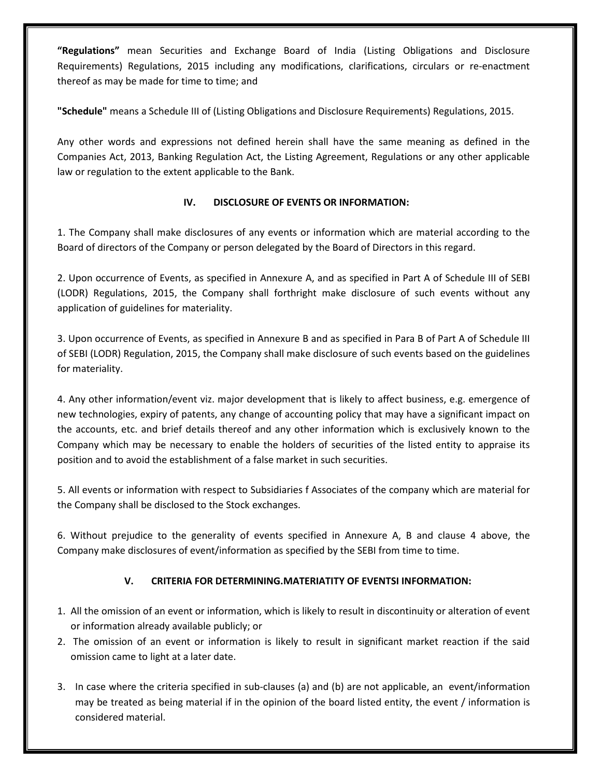**"Regulations"** mean Securities and Exchange Board of India (Listing Obligations and Disclosure Requirements) Regulations, 2015 including any modifications, clarifications, circulars or re-enactment thereof as may be made for time to time; and

**"Schedule"** means a Schedule III of (Listing Obligations and Disclosure Requirements) Regulations, 2015.

Any other words and expressions not defined herein shall have the same meaning as defined in the Companies Act, 2013, Banking Regulation Act, the Listing Agreement, Regulations or any other applicable law or regulation to the extent applicable to the Bank.

## **IV. DISCLOSURE OF EVENTS OR INFORMATION:**

1. The Company shall make disclosures of any events or information which are material according to the Board of directors of the Company or person delegated by the Board of Directors in this regard.

2. Upon occurrence of Events, as specified in Annexure A, and as specified in Part A of Schedule III of SEBI (LODR) Regulations, 2015, the Company shall forthright make disclosure of such events without any application of guidelines for materiality.

3. Upon occurrence of Events, as specified in Annexure B and as specified in Para B of Part A of Schedule III of SEBI (LODR) Regulation, 2015, the Company shall make disclosure of such events based on the guidelines for materiality.

4. Any other information/event viz. major development that is likely to affect business, e.g. emergence of new technologies, expiry of patents, any change of accounting policy that may have a significant impact on the accounts, etc. and brief details thereof and any other information which is exclusively known to the Company which may be necessary to enable the holders of securities of the listed entity to appraise its position and to avoid the establishment of a false market in such securities.

5. All events or information with respect to Subsidiaries f Associates of the company which are material for the Company shall be disclosed to the Stock exchanges.

6. Without prejudice to the generality of events specified in Annexure A, B and clause 4 above, the Company make disclosures of event/information as specified by the SEBI from time to time.

## **V. CRITERIA FOR DETERMINING.MATERIATITY OF EVENTSI INFORMATION:**

- 1. All the omission of an event or information, which is likely to result in discontinuity or alteration of event or information already available publicly; or
- 2. The omission of an event or information is likely to result in significant market reaction if the said omission came to light at a later date.
- 3. In case where the criteria specified in sub-clauses (a) and (b) are not applicable, an event/information may be treated as being material if in the opinion of the board listed entity, the event / information is considered material.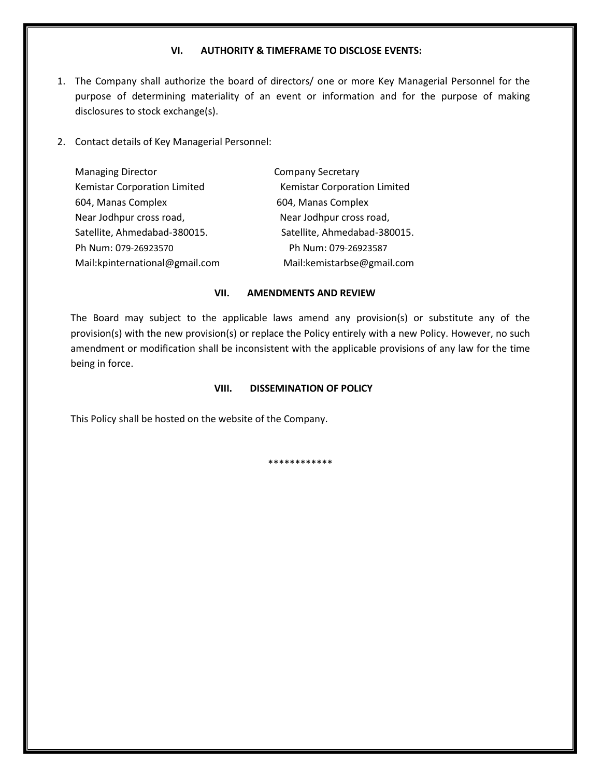#### **VI. AUTHORITY & TIMEFRAME TO DISCLOSE EVENTS:**

- 1. The Company shall authorize the board of directors/ one or more Key Managerial Personnel for the purpose of determining materiality of an event or information and for the purpose of making disclosures to stock exchange(s).
- 2. Contact details of Key Managerial Personnel:

| <b>Managing Director</b>       | <b>Company Secretary</b>     |
|--------------------------------|------------------------------|
| Kemistar Corporation Limited   | Kemistar Corporation Limited |
| 604, Manas Complex             | 604, Manas Complex           |
| Near Jodhpur cross road,       | Near Jodhpur cross road,     |
| Satellite, Ahmedabad-380015.   | Satellite, Ahmedabad-380015. |
| Ph Num: 079-26923570           | Ph Num: 079-26923587         |
| Mail:kpinternational@gmail.com | Mail:kemistarbse@gmail.com   |

#### **VII. AMENDMENTS AND REVIEW**

The Board may subject to the applicable laws amend any provision(s) or substitute any of the provision(s) with the new provision(s) or replace the Policy entirely with a new Policy. However, no such amendment or modification shall be inconsistent with the applicable provisions of any law for the time being in force.

#### **VIII. DISSEMINATION OF POLICY**

This Policy shall be hosted on the website of the Company.

\*\*\*\*\*\*\*\*\*\*\*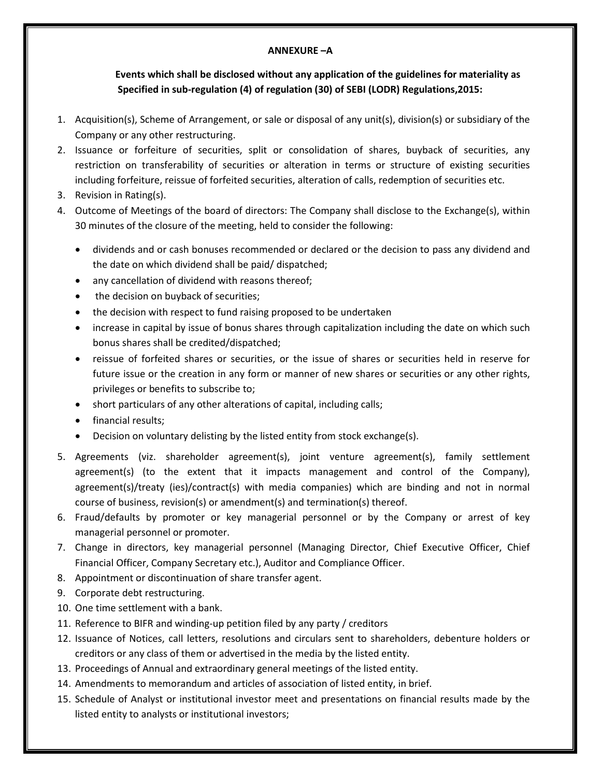### **ANNEXURE –A**

## **Events which shall be disclosed without any application of the guidelines for materiality as Specified in sub-regulation (4) of regulation (30) of SEBI (LODR) Regulations,2015:**

- 1. Acquisition(s), Scheme of Arrangement, or sale or disposal of any unit(s), division(s) or subsidiary of the Company or any other restructuring.
- 2. Issuance or forfeiture of securities, split or consolidation of shares, buyback of securities, any restriction on transferability of securities or alteration in terms or structure of existing securities including forfeiture, reissue of forfeited securities, alteration of calls, redemption of securities etc.
- 3. Revision in Rating(s).
- 4. Outcome of Meetings of the board of directors: The Company shall disclose to the Exchange(s), within 30 minutes of the closure of the meeting, held to consider the following:
	- dividends and or cash bonuses recommended or declared or the decision to pass any dividend and the date on which dividend shall be paid/ dispatched;
	- any cancellation of dividend with reasons thereof;
	- the decision on buyback of securities;
	- the decision with respect to fund raising proposed to be undertaken
	- increase in capital by issue of bonus shares through capitalization including the date on which such bonus shares shall be credited/dispatched;
	- reissue of forfeited shares or securities, or the issue of shares or securities held in reserve for future issue or the creation in any form or manner of new shares or securities or any other rights, privileges or benefits to subscribe to;
	- short particulars of any other alterations of capital, including calls;
	- financial results;
	- Decision on voluntary delisting by the listed entity from stock exchange(s).
- 5. Agreements (viz. shareholder agreement(s), joint venture agreement(s), family settlement agreement(s) (to the extent that it impacts management and control of the Company), agreement(s)/treaty (ies)/contract(s) with media companies) which are binding and not in normal course of business, revision(s) or amendment(s) and termination(s) thereof.
- 6. Fraud/defaults by promoter or key managerial personnel or by the Company or arrest of key managerial personnel or promoter.
- 7. Change in directors, key managerial personnel (Managing Director, Chief Executive Officer, Chief Financial Officer, Company Secretary etc.), Auditor and Compliance Officer.
- 8. Appointment or discontinuation of share transfer agent.
- 9. Corporate debt restructuring.
- 10. One time settlement with a bank.
- 11. Reference to BIFR and winding-up petition filed by any party / creditors
- 12. Issuance of Notices, call letters, resolutions and circulars sent to shareholders, debenture holders or creditors or any class of them or advertised in the media by the listed entity.
- 13. Proceedings of Annual and extraordinary general meetings of the listed entity.
- 14. Amendments to memorandum and articles of association of listed entity, in brief.
- 15. Schedule of Analyst or institutional investor meet and presentations on financial results made by the listed entity to analysts or institutional investors;